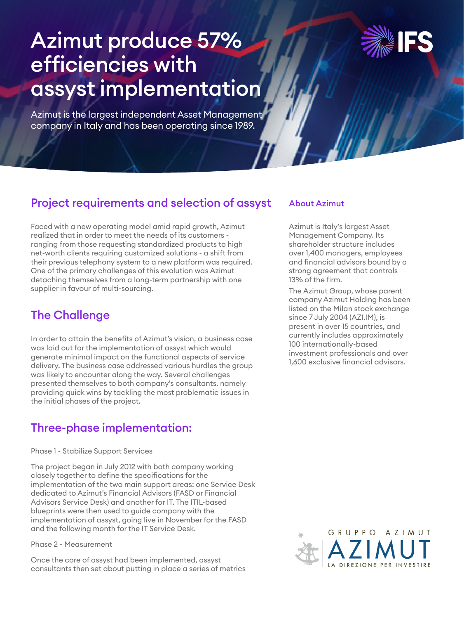# Azimut produce 57% efficiencies with assyst implementation

Azimut is the largest independent Asset Management company in Italy and has been operating since 1989.

# Project requirements and selection of assyst

Faced with a new operating model amid rapid growth, Azimut realized that in order to meet the needs of its customers ranging from those requesting standardized products to high net-worth clients requiring customized solutions - a shift from their previous telephony system to a new platform was required. One of the primary challenges of this evolution was Azimut detaching themselves from a long-term partnership with one supplier in favour of multi-sourcing.

## The Challenge

In order to attain the benefits of Azimut's vision, a business case was laid out for the implementation of assyst which would generate minimal impact on the functional aspects of service delivery. The business case addressed various hurdles the group was likely to encounter along the way. Several challenges presented themselves to both company's consultants, namely providing quick wins by tackling the most problematic issues in the initial phases of the project.

# Three-phase implementation:

Phase 1 - Stabilize Support Services

The project began in July 2012 with both company working closely together to define the specifications for the implementation of the two main support areas: one Service Desk dedicated to Azimut's Financial Advisors (FASD or Financial Advisors Service Desk) and another for IT. The ITIL-based blueprints were then used to guide company with the implementation of assyst, going live in November for the FASD and the following month for the IT Service Desk.

#### Phase 2 - Measurement

Once the core of assyst had been implemented, assyst consultants then set about putting in place a series of metrics

## About Azimut

Azimut is Italy's largest Asset Management Company. Its shareholder structure includes over 1,400 managers, employees and financial advisors bound by a strong agreement that controls 13% of the firm.

The Azimut Group, whose parent company Azimut Holding has been listed on the Milan stock exchange since 7 July 2004 (AZI.IM), is present in over 15 countries, and currently includes approximately 100 internationally-based investment professionals and over 1,600 exclusive financial advisors.